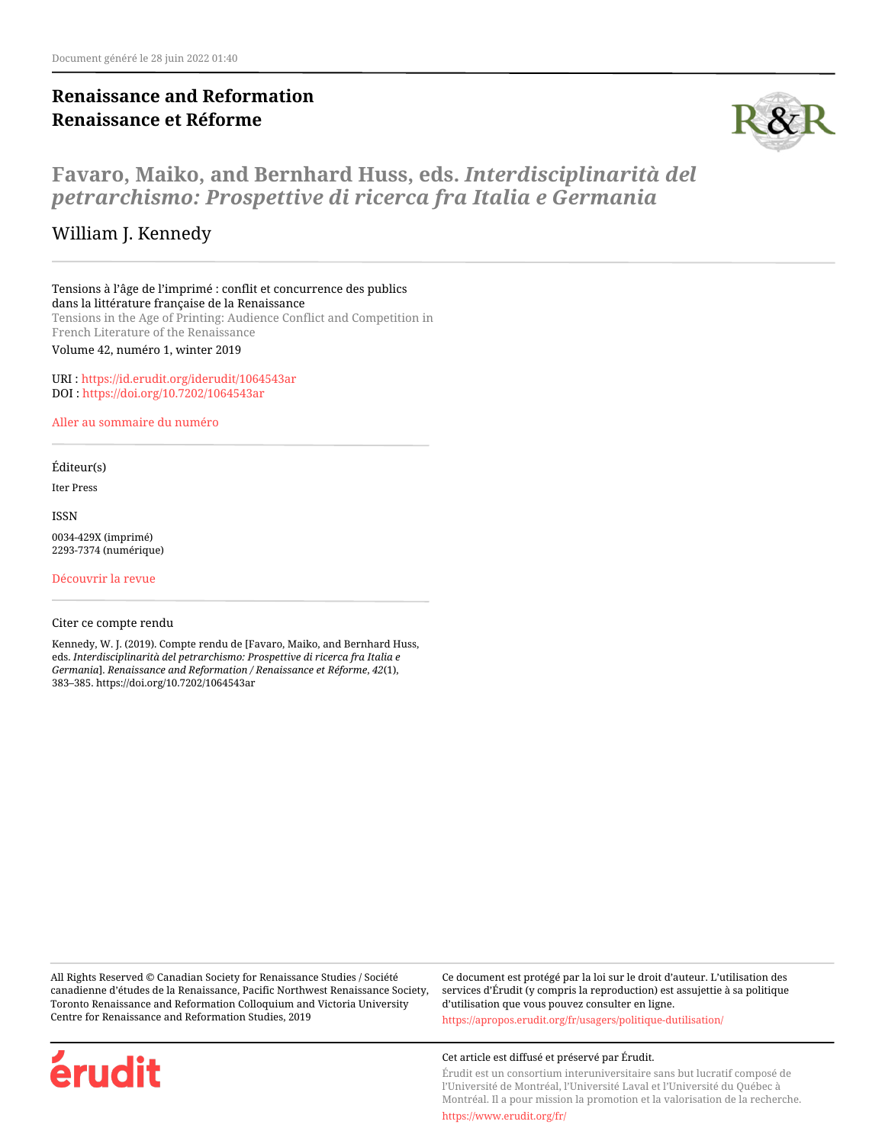# **Renaissance and Reformation Renaissance et Réforme**



# **Favaro, Maiko, and Bernhard Huss, eds.** *Interdisciplinarità del petrarchismo: Prospettive di ricerca fra Italia e Germania*

## William J. Kennedy

Tensions à l'âge de l'imprimé : conflit et concurrence des publics dans la littérature française de la Renaissance Tensions in the Age of Printing: Audience Conflict and Competition in French Literature of the Renaissance

Volume 42, numéro 1, winter 2019

URI :<https://id.erudit.org/iderudit/1064543ar> DOI :<https://doi.org/10.7202/1064543ar>

[Aller au sommaire du numéro](https://www.erudit.org/fr/revues/renref/2019-v42-n1-renref04859/)

#### Éditeur(s)

Iter Press

ISSN

0034-429X (imprimé) 2293-7374 (numérique)

[Découvrir la revue](https://www.erudit.org/fr/revues/renref/)

#### Citer ce compte rendu

érudit

Kennedy, W. J. (2019). Compte rendu de [Favaro, Maiko, and Bernhard Huss, eds. *Interdisciplinarità del petrarchismo: Prospettive di ricerca fra Italia e Germania*]. *Renaissance and Reformation / Renaissance et Réforme*, *42*(1), 383–385. https://doi.org/10.7202/1064543ar

All Rights Reserved © Canadian Society for Renaissance Studies / Société canadienne d'études de la Renaissance, Pacific Northwest Renaissance Society, Toronto Renaissance and Reformation Colloquium and Victoria University Centre for Renaissance and Reformation Studies, 2019

Ce document est protégé par la loi sur le droit d'auteur. L'utilisation des services d'Érudit (y compris la reproduction) est assujettie à sa politique d'utilisation que vous pouvez consulter en ligne.

<https://apropos.erudit.org/fr/usagers/politique-dutilisation/>

#### Cet article est diffusé et préservé par Érudit.

Érudit est un consortium interuniversitaire sans but lucratif composé de l'Université de Montréal, l'Université Laval et l'Université du Québec à Montréal. Il a pour mission la promotion et la valorisation de la recherche.

<https://www.erudit.org/fr/>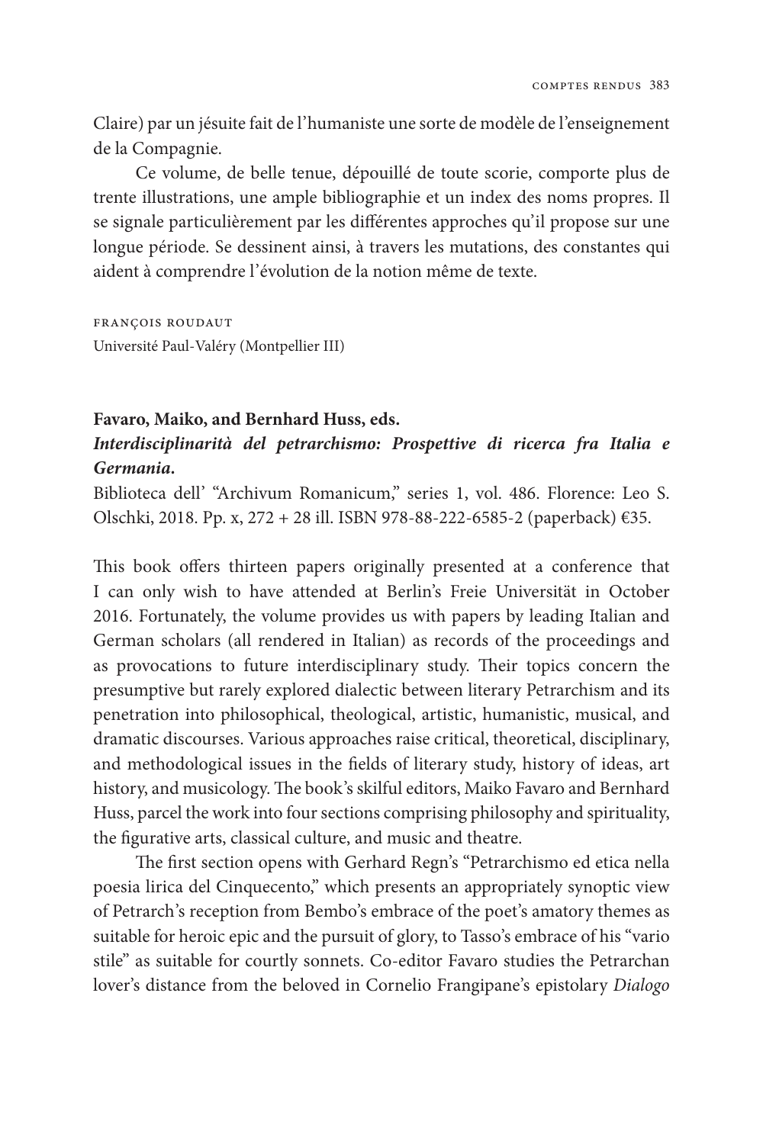Claire) par un jésuite fait de l'humaniste une sorte de modèle de l'enseignement de la Compagnie.

Ce volume, de belle tenue, dépouillé de toute scorie, comporte plus de trente illustrations, une ample bibliographie et un index des noms propres. Il se signale particulièrement par les différentes approches qu'il propose sur une longue période. Se dessinent ainsi, à travers les mutations, des constantes qui aident à comprendre l'évolution de la notion même de texte.

françois roudaut Université Paul-Valéry (Montpellier III)

#### **Favaro, Maiko, and Bernhard Huss, eds.**

## *Interdisciplinarità del petrarchismo: Prospettive di ricerca fra Italia e Germania.*

Biblioteca dell' "Archivum Romanicum," series 1, vol. 486. Florence: Leo S. Olschki, 2018. Pp. x, 272 + 28 ill. ISBN 978-88-222-6585-2 (paperback) €35.

This book offers thirteen papers originally presented at a conference that I can only wish to have attended at Berlin's Freie Universität in October 2016. Fortunately, the volume provides us with papers by leading Italian and German scholars (all rendered in Italian) as records of the proceedings and as provocations to future interdisciplinary study. Their topics concern the presumptive but rarely explored dialectic between literary Petrarchism and its penetration into philosophical, theological, artistic, humanistic, musical, and dramatic discourses. Various approaches raise critical, theoretical, disciplinary, and methodological issues in the fields of literary study, history of ideas, art history, and musicology. The book's skilful editors, Maiko Favaro and Bernhard Huss, parcel the work into four sections comprising philosophy and spirituality, the figurative arts, classical culture, and music and theatre.

The first section opens with Gerhard Regn's "Petrarchismo ed etica nella poesia lirica del Cinquecento," which presents an appropriately synoptic view of Petrarch's reception from Bembo's embrace of the poet's amatory themes as suitable for heroic epic and the pursuit of glory, to Tasso's embrace of his "vario stile" as suitable for courtly sonnets. Co-editor Favaro studies the Petrarchan lover's distance from the beloved in Cornelio Frangipane's epistolary *Dialogo*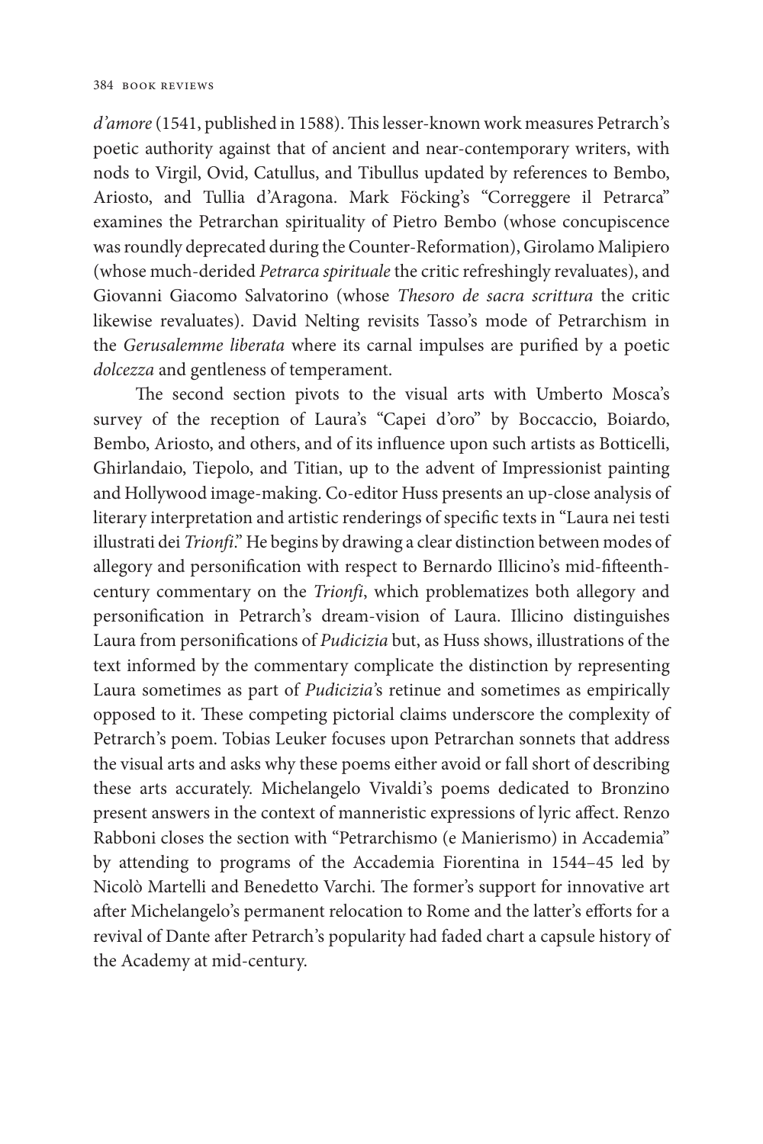*d'amore* (1541, published in 1588). This lesser-known work measures Petrarch's poetic authority against that of ancient and near-contemporary writers, with nods to Virgil, Ovid, Catullus, and Tibullus updated by references to Bembo, Ariosto, and Tullia d'Aragona. Mark Föcking's "Correggere il Petrarca" examines the Petrarchan spirituality of Pietro Bembo (whose concupiscence was roundly deprecated during the Counter-Reformation), Girolamo Malipiero (whose much-derided *Petrarca spirituale* the critic refreshingly revaluates), and Giovanni Giacomo Salvatorino (whose *Thesoro de sacra scrittura* the critic likewise revaluates). David Nelting revisits Tasso's mode of Petrarchism in the *Gerusalemme liberata* where its carnal impulses are purified by a poetic *dolcezza* and gentleness of temperament.

The second section pivots to the visual arts with Umberto Mosca's survey of the reception of Laura's "Capei d'oro" by Boccaccio, Boiardo, Bembo, Ariosto, and others, and of its influence upon such artists as Botticelli, Ghirlandaio, Tiepolo, and Titian, up to the advent of Impressionist painting and Hollywood image-making. Co-editor Huss presents an up-close analysis of literary interpretation and artistic renderings of specific texts in "Laura nei testi illustrati dei *Trionfi*." He begins by drawing a clear distinction between modes of allegory and personification with respect to Bernardo Illicino's mid-fifteenthcentury commentary on the *Trionfi*, which problematizes both allegory and personification in Petrarch's dream-vision of Laura. Illicino distinguishes Laura from personifications of *Pudicizia* but, as Huss shows, illustrations of the text informed by the commentary complicate the distinction by representing Laura sometimes as part of *Pudicizia'*s retinue and sometimes as empirically opposed to it. These competing pictorial claims underscore the complexity of Petrarch's poem. Tobias Leuker focuses upon Petrarchan sonnets that address the visual arts and asks why these poems either avoid or fall short of describing these arts accurately. Michelangelo Vivaldi's poems dedicated to Bronzino present answers in the context of manneristic expressions of lyric affect. Renzo Rabboni closes the section with "Petrarchismo (e Manierismo) in Accademia" by attending to programs of the Accademia Fiorentina in 1544–45 led by Nicolò Martelli and Benedetto Varchi. The former's support for innovative art after Michelangelo's permanent relocation to Rome and the latter's efforts for a revival of Dante after Petrarch's popularity had faded chart a capsule history of the Academy at mid-century.